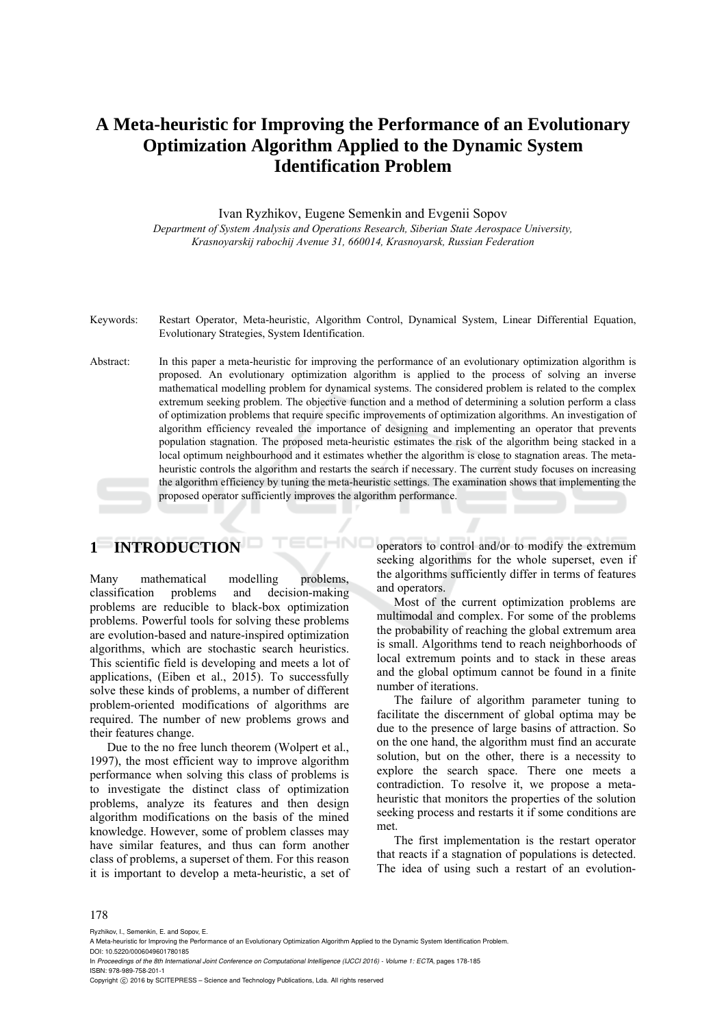## **A Meta-heuristic for Improving the Performance of an Evolutionary Optimization Algorithm Applied to the Dynamic System Identification Problem**

Ivan Ryzhikov, Eugene Semenkin and Evgenii Sopov *Department of System Analysis and Operations Research, Siberian State Aerospace University, Krasnoyarskij rabochij Avenue 31, 660014, Krasnoyarsk, Russian Federation* 

- Keywords: Restart Operator, Meta-heuristic, Algorithm Control, Dynamical System, Linear Differential Equation, Evolutionary Strategies, System Identification.
- Abstract: In this paper a meta-heuristic for improving the performance of an evolutionary optimization algorithm is proposed. An evolutionary optimization algorithm is applied to the process of solving an inverse mathematical modelling problem for dynamical systems. The considered problem is related to the complex extremum seeking problem. The objective function and a method of determining a solution perform a class of optimization problems that require specific improvements of optimization algorithms. An investigation of algorithm efficiency revealed the importance of designing and implementing an operator that prevents population stagnation. The proposed meta-heuristic estimates the risk of the algorithm being stacked in a local optimum neighbourhood and it estimates whether the algorithm is close to stagnation areas. The metaheuristic controls the algorithm and restarts the search if necessary. The current study focuses on increasing the algorithm efficiency by tuning the meta-heuristic settings. The examination shows that implementing the proposed operator sufficiently improves the algorithm performance.

HNC

# **1 INTRODUCTION**

Many mathematical modelling problems, classification problems and decision-making problems are reducible to black-box optimization problems. Powerful tools for solving these problems are evolution-based and nature-inspired optimization algorithms, which are stochastic search heuristics. This scientific field is developing and meets a lot of applications, (Eiben et al., 2015). To successfully solve these kinds of problems, a number of different problem-oriented modifications of algorithms are required. The number of new problems grows and their features change.

Due to the no free lunch theorem (Wolpert et al., 1997), the most efficient way to improve algorithm performance when solving this class of problems is to investigate the distinct class of optimization problems, analyze its features and then design algorithm modifications on the basis of the mined knowledge. However, some of problem classes may have similar features, and thus can form another class of problems, a superset of them. For this reason it is important to develop a meta-heuristic, a set of operators to control and/or to modify the extremum seeking algorithms for the whole superset, even if the algorithms sufficiently differ in terms of features and operators.

Most of the current optimization problems are multimodal and complex. For some of the problems the probability of reaching the global extremum area is small. Algorithms tend to reach neighborhoods of local extremum points and to stack in these areas and the global optimum cannot be found in a finite number of iterations.

The failure of algorithm parameter tuning to facilitate the discernment of global optima may be due to the presence of large basins of attraction. So on the one hand, the algorithm must find an accurate solution, but on the other, there is a necessity to explore the search space. There one meets a contradiction. To resolve it, we propose a metaheuristic that monitors the properties of the solution seeking process and restarts it if some conditions are met.

The first implementation is the restart operator that reacts if a stagnation of populations is detected. The idea of using such a restart of an evolution-

#### 178

Ryzhikov, I., Semenkin, E. and Sopov, E.

In *Proceedings of the 8th International Joint Conference on Computational Intelligence (IJCCI 2016) - Volume 1: ECTA*, pages 178-185 ISBN: 978-989-758-201-1

Copyright (C) 2016 by SCITEPRESS - Science and Technology Publications, Lda. All rights reserved

A Meta-heuristic for Improving the Performance of an Evolutionary Optimization Algorithm Applied to the Dynamic System Identification Problem. DOI: 10.5220/0006049601780185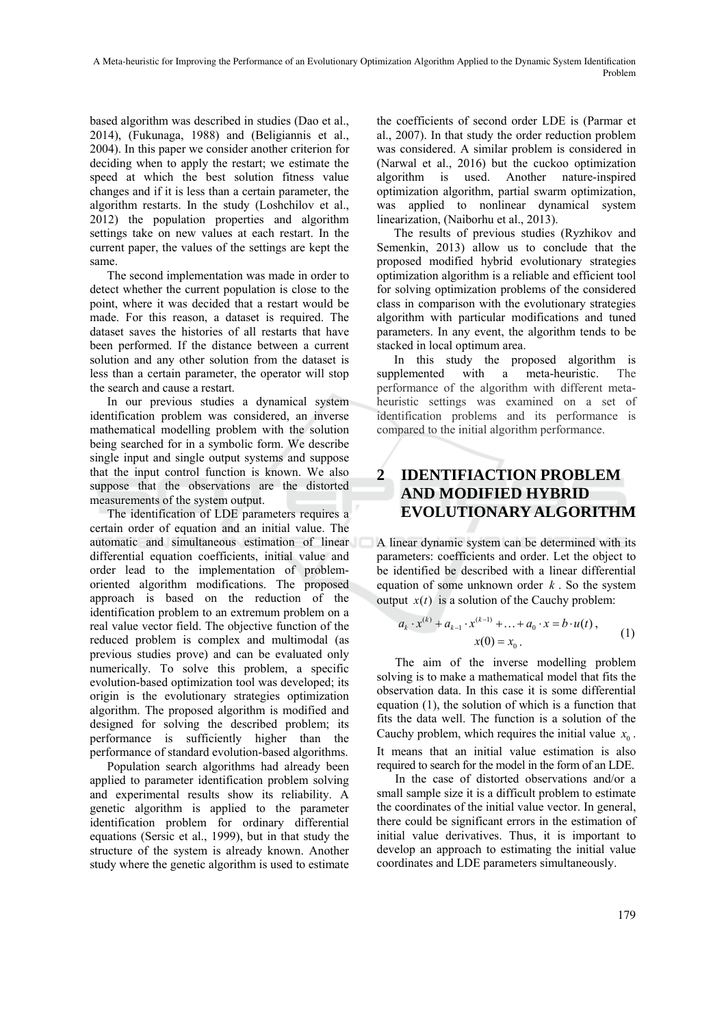based algorithm was described in studies (Dao et al., 2014), (Fukunaga, 1988) and (Beligiannis et al., 2004). In this paper we consider another criterion for deciding when to apply the restart; we estimate the speed at which the best solution fitness value changes and if it is less than a certain parameter, the algorithm restarts. In the study (Loshchilov et al., 2012) the population properties and algorithm settings take on new values at each restart. In the current paper, the values of the settings are kept the same.

The second implementation was made in order to detect whether the current population is close to the point, where it was decided that a restart would be made. For this reason, a dataset is required. The dataset saves the histories of all restarts that have been performed. If the distance between a current solution and any other solution from the dataset is less than a certain parameter, the operator will stop the search and cause a restart.

In our previous studies a dynamical system identification problem was considered, an inverse mathematical modelling problem with the solution being searched for in a symbolic form. We describe single input and single output systems and suppose that the input control function is known. We also suppose that the observations are the distorted measurements of the system output.

The identification of LDE parameters requires a certain order of equation and an initial value. The automatic and simultaneous estimation of linear differential equation coefficients, initial value and order lead to the implementation of problemoriented algorithm modifications. The proposed approach is based on the reduction of the identification problem to an extremum problem on a real value vector field. The objective function of the reduced problem is complex and multimodal (as previous studies prove) and can be evaluated only numerically. To solve this problem, a specific evolution-based optimization tool was developed; its origin is the evolutionary strategies optimization algorithm. The proposed algorithm is modified and designed for solving the described problem; its performance is sufficiently higher than the performance of standard evolution-based algorithms.

Population search algorithms had already been applied to parameter identification problem solving and experimental results show its reliability. A genetic algorithm is applied to the parameter identification problem for ordinary differential equations (Sersic et al., 1999), but in that study the structure of the system is already known. Another study where the genetic algorithm is used to estimate

the coefficients of second order LDE is (Parmar et al., 2007). In that study the order reduction problem was considered. A similar problem is considered in (Narwal et al., 2016) but the cuckoo optimization algorithm is used. Another nature-inspired optimization algorithm, partial swarm optimization, was applied to nonlinear dynamical system linearization, (Naiborhu et al., 2013).

The results of previous studies (Ryzhikov and Semenkin, 2013) allow us to conclude that the proposed modified hybrid evolutionary strategies optimization algorithm is a reliable and efficient tool for solving optimization problems of the considered class in comparison with the evolutionary strategies algorithm with particular modifications and tuned parameters. In any event, the algorithm tends to be stacked in local optimum area.

In this study the proposed algorithm is supplemented with a meta-heuristic. The performance of the algorithm with different metaheuristic settings was examined on a set of identification problems and its performance is compared to the initial algorithm performance.

## **2 IDENTIFIACTION PROBLEM AND MODIFIED HYBRID EVOLUTIONARY ALGORITHM**

A linear dynamic system can be determined with its parameters: coefficients and order. Let the object to be identified be described with a linear differential equation of some unknown order *k* . So the system output  $x(t)$  is a solution of the Cauchy problem:

$$
a_k \cdot x^{(k)} + a_{k-1} \cdot x^{(k-1)} + \dots + a_0 \cdot x = b \cdot u(t),
$$
  
 
$$
x(0) = x_0.
$$
 (1)

The aim of the inverse modelling problem solving is to make a mathematical model that fits the observation data. In this case it is some differential equation (1), the solution of which is a function that fits the data well. The function is a solution of the Cauchy problem, which requires the initial value  $x_0$ . It means that an initial value estimation is also required to search for the model in the form of an LDE.

In the case of distorted observations and/or a small sample size it is a difficult problem to estimate the coordinates of the initial value vector. In general, there could be significant errors in the estimation of initial value derivatives. Thus, it is important to develop an approach to estimating the initial value coordinates and LDE parameters simultaneously.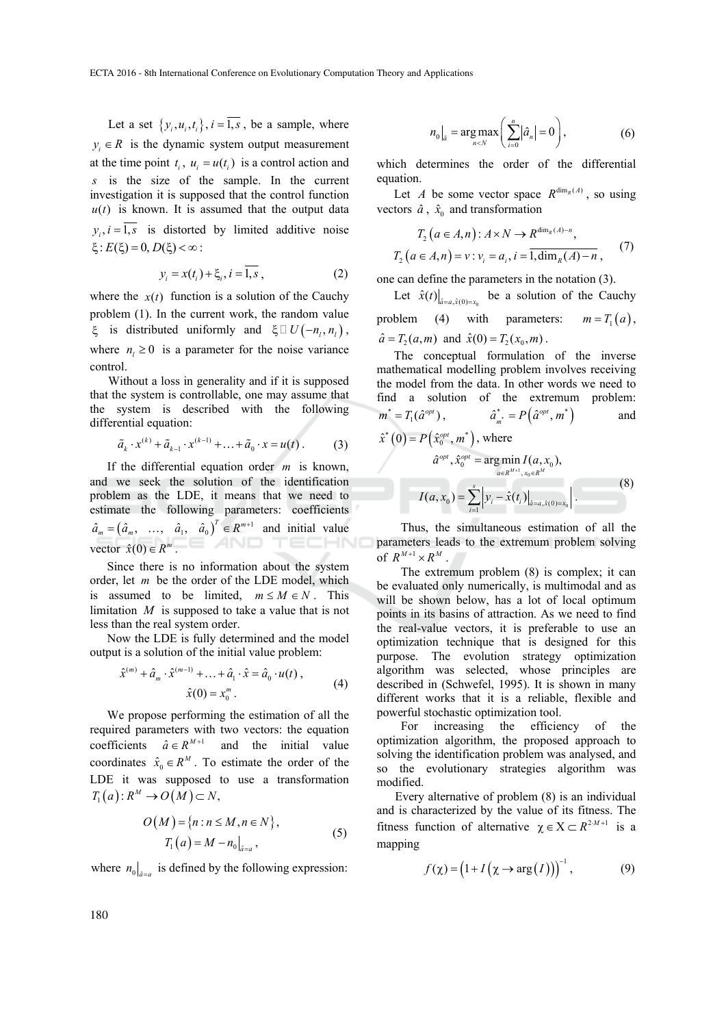Let a set  $\{y_i, u_i, t_i\}$ ,  $i = \overline{1, s}$ , be a sample, where  $y_i \in R$  is the dynamic system output measurement at the time point  $t_i$ ,  $u_i = u(t_i)$  is a control action and *s* is the size of the sample. In the current investigation it is supposed that the control function  $u(t)$  is known. It is assumed that the output data  $y_i$ ,  $i = \overline{1, s}$  is distorted by limited additive noise  $\xi$ :  $E(\xi) = 0, D(\xi) < \infty$ :

$$
y_i = x(t_i) + \xi_i, i = 1, s,
$$
 (2)

where the  $x(t)$  function is a solution of the Cauchy problem (1). In the current work, the random value  $\xi$  is distributed uniformly and  $\xi \square U(-n_i, n_i)$ , where  $n_l \geq 0$  is a parameter for the noise variance control.

Without a loss in generality and if it is supposed that the system is controllable, one may assume that the system is described with the following differential equation:

$$
\tilde{a}_k \cdot x^{(k)} + \tilde{a}_{k-1} \cdot x^{(k-1)} + \ldots + \tilde{a}_0 \cdot x = u(t) \,. \tag{3}
$$

If the differential equation order *m* is known, and we seek the solution of the identification problem as the LDE, it means that we need to estimate the following parameters: coefficients  $\hat{a}_m = (\hat{a}_m, \dots, \hat{a}_1, \hat{a}_0)^T \in R^{m+1}$  and initial value vector  $\hat{x}(0) \in R^m$ . TECHN

Since there is no information about the system order, let *m* be the order of the LDE model, which is assumed to be limited,  $m \le M \in N$ . This limitation *M* is supposed to take a value that is not less than the real system order.

Now the LDE is fully determined and the model output is a solution of the initial value problem:

$$
\hat{x}^{(m)} + \hat{a}_m \cdot \hat{x}^{(m-1)} + \dots + \hat{a}_1 \cdot \hat{x} = \hat{a}_0 \cdot u(t) ,
$$
  

$$
\hat{x}(0) = x_0^m .
$$
 (4)

We propose performing the estimation of all the required parameters with two vectors: the equation coefficients  $\hat{a} \in R^{M+1}$  and the initial value coordinates  $\hat{x}_0 \in R^M$ . To estimate the order of the LDE it was supposed to use a transformation  $T_1(a)$ :  $R^M \to O(M) \subset N$ ,

$$
O(M) = \{n : n \le M, n \in N\},\
$$
  
\n
$$
T_1(a) = M - n_0|_{\hat{a} = a},
$$
\n(5)

where  $n_0$   $\vert_{\hat{a} = \hat{a}}$  is defined by the following expression:

$$
n_0|_{\hat{a}} = \underset{n < N}{\arg \max} \left( \sum_{i=0}^n |\hat{a}_n| = 0 \right), \tag{6}
$$

which determines the order of the differential equation.

Let *A* be some vector space  $R^{\dim_R(A)}$ , so using vectors  $\hat{a}$ ,  $\hat{x}_0$  and transformation

$$
T_2 (a \in A, n): A \times N \to R^{\dim_R(A) - n},
$$
  
\n
$$
T_2 (a \in A, n) = v: v_i = a_i, i = \overline{1, \dim_R(A) - n},
$$
 (7)

one can define the parameters in the notation (3).

Let  $\hat{x}(t) \big|_{\hat{a} = a, \hat{x}(0) = x_0}$  be a solution of the Cauchy problem (4) with parameters:  $m = T_1(a)$ ,

 $\hat{a} = T_2(a, m)$  and  $\hat{x}(0) = T_2(x_0, m)$ .

The conceptual formulation of the inverse mathematical modelling problem involves receiving the model from the data. In other words we need to find a solution of the extremum problem:  $m^* = T_1(\hat{a}^{opt}),$   $\hat{a}^*_{m^*} = P(\hat{a}^{opt}, m^*)$  and  $\hat{x}^*(0) = P(\hat{x}_0^{opt}, m^*)$ , where

$$
\hat{a}^{opt}, \hat{x}_0^{opt} = \arg\min_{a \in R^{M+1}, x_0 \in R^M} I(a, x_0),
$$

$$
I(a, x_0) = \sum_{i=1}^s \left| y_i - \hat{x}(t_i) \right|_{\hat{a} = a, \hat{x}(0) = x_0} \right|.
$$
(8)

Thus, the simultaneous estimation of all the parameters leads to the extremum problem solving of  $R^{M+1} \times R^M$ 

The extremum problem (8) is complex; it can be evaluated only numerically, is multimodal and as will be shown below, has a lot of local optimum points in its basins of attraction. As we need to find the real-value vectors, it is preferable to use an optimization technique that is designed for this purpose. The evolution strategy optimization algorithm was selected, whose principles are described in (Schwefel, 1995). It is shown in many different works that it is a reliable, flexible and powerful stochastic optimization tool.

For increasing the efficiency of the optimization algorithm, the proposed approach to solving the identification problem was analysed, and so the evolutionary strategies algorithm was modified.

Every alternative of problem (8) is an individual and is characterized by the value of its fitness. The fitness function of alternative  $\chi \in X \subset R^{2M+1}$  is a mapping

$$
f(\chi) = (1 + I(\chi \to \arg(I)))^{-1}, \tag{9}
$$

180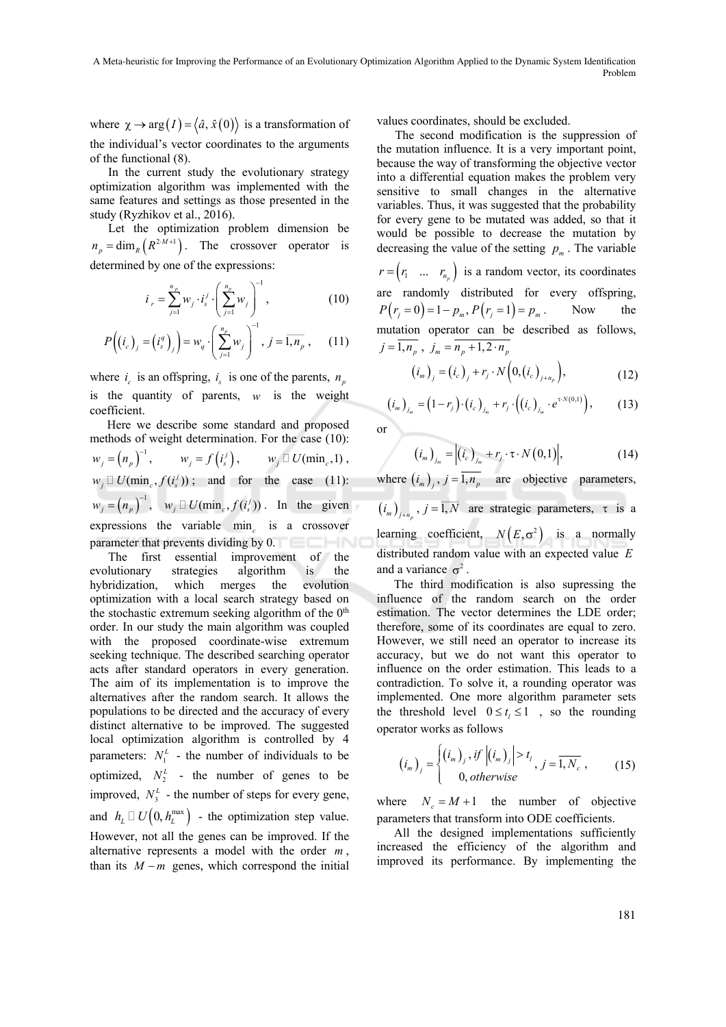where  $\chi \rightarrow \arg(I) = \langle \hat{a}, \hat{x}(0) \rangle$  is a transformation of the individual's vector coordinates to the arguments of the functional (8).

In the current study the evolutionary strategy optimization algorithm was implemented with the same features and settings as those presented in the study (Ryzhikov et al., 2016).

Let the optimization problem dimension be  $n_p = \dim_R(R^{2 \cdot M + 1})$ . The crossover operator is determined by one of the expressions:

$$
i_{r} = \sum_{j=1}^{n_{p}} w_{j} \cdot i_{s}^{j} \cdot \left(\sum_{j=1}^{n_{p}} w_{j}\right)^{-1}, \qquad (10)
$$

$$
P\left(\left(i_c\right)_j = \left(i_s^q\right)_j\right) = w_q \cdot \left(\sum_{j=1}^{n_p} w_j\right)^{-1}, \ j = \overline{1, n_p} \,, \qquad (11)
$$

where  $i_c$  is an offspring,  $i_s$  is one of the parents,  $n_n$ is the quantity of parents, *w* is the weight coefficient.

Here we describe some standard and proposed methods of weight determination. For the case (10):

$$
w_j = (n_p)^{-1}, \t w_j = f(i'_s), \t w_j \square U(\min_c, 1),
$$
  
\n
$$
w_j \square U(\min_c, f(i'_s)) ; \t and \t for the case (11):
$$
  
\n
$$
w_j = (n_p)^{-1}, \t w_j \square U(\min_c, f(i'_s)) . \t In the given\nexpressions the variable  $\min_c$  is a crossover  
\nparameter that prevents dividing by 0.
$$

The first essential improvement of the evolutionary strategies algorithm is the hybridization, which merges the evolution optimization with a local search strategy based on the stochastic extremum seeking algorithm of the  $0<sup>th</sup>$ order. In our study the main algorithm was coupled with the proposed coordinate-wise extremum seeking technique. The described searching operator acts after standard operators in every generation. The aim of its implementation is to improve the alternatives after the random search. It allows the populations to be directed and the accuracy of every distinct alternative to be improved. The suggested local optimization algorithm is controlled by 4 parameters:  $N_1^L$  - the number of individuals to be optimized,  $N_2^L$  - the number of genes to be improved,  $N_3^L$  - the number of steps for every gene, and  $h_L \square U(0, h_L^{\text{max}})$  - the optimization step value. However, not all the genes can be improved. If the alternative represents a model with the order *m* , than its  $M - m$  genes, which correspond the initial

values coordinates, should be excluded.

The second modification is the suppression of the mutation influence. It is a very important point, because the way of transforming the objective vector into a differential equation makes the problem very sensitive to small changes in the alternative variables. Thus, it was suggested that the probability for every gene to be mutated was added, so that it would be possible to decrease the mutation by decreasing the value of the setting  $p_m$ . The variable  $r = (r_1 \dots r_{n_n})$  is a random vector, its coordinates are randomly distributed for every offspring,  $P(r_i = 0) = 1 - p_m$ ,  $P(r_i = 1) = p_m$ . Now the mutation operator can be described as follows,  $j = \overline{1, n_p}$ ,  $j_m = \overline{n_p + 1, 2 \cdot n_p}$ 

$$
(i_m)_j = (i_c)_j + r_j \cdot N\Big(0, (i_c)_{j+n_p}\Big), \tag{12}
$$

$$
(i_m)_{j_m} = (1 - r_j) \cdot (i_c)_{j_m} + r_j \cdot ((i_c)_{j_m} \cdot e^{\tau \cdot N(0,1)}), \quad (13)
$$

or

$$
\left(i_m\right)_{j_m} = \left|\left(i_c\right)_{j_m} + r_j \cdot \tau \cdot N\left(0,1\right)\right|,\tag{14}
$$

where  $(i_m)$ ,  $j = \overline{1, n_p}$  are objective parameters,

 $(i_m)_{j+n_p}$ ,  $j = \overline{1, N}$  are strategic parameters,  $\tau$  is a learning coefficient,  $N(E, \sigma^2)$  is a normally distributed random value with an expected value *E* and a variance  $\sigma^2$ 

The third modification is also supressing the influence of the random search on the order estimation. The vector determines the LDE order; therefore, some of its coordinates are equal to zero. However, we still need an operator to increase its accuracy, but we do not want this operator to influence on the order estimation. This leads to a contradiction. To solve it, a rounding operator was implemented. One more algorithm parameter sets the threshold level  $0 \le t_i \le 1$ , so the rounding operator works as follows

$$
(i_m)_j = \begin{cases} (i_m)_j, if \ |(i_m)_j| > t_l \\ 0, otherwise \end{cases}, j = \overline{1, N_c}, \qquad (15)
$$

where  $N_c = M + 1$  the number of objective parameters that transform into ODE coefficients.

All the designed implementations sufficiently increased the efficiency of the algorithm and improved its performance. By implementing the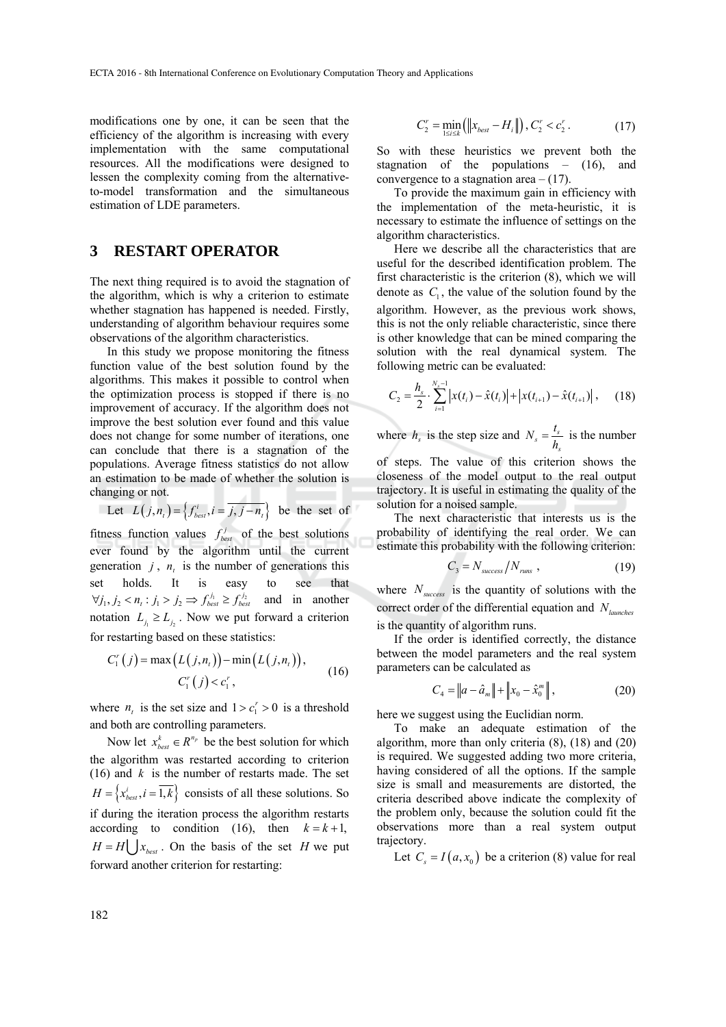modifications one by one, it can be seen that the efficiency of the algorithm is increasing with every implementation with the same computational resources. All the modifications were designed to lessen the complexity coming from the alternativeto-model transformation and the simultaneous estimation of LDE parameters.

### **3 RESTART OPERATOR**

The next thing required is to avoid the stagnation of the algorithm, which is why a criterion to estimate whether stagnation has happened is needed. Firstly, understanding of algorithm behaviour requires some observations of the algorithm characteristics.

In this study we propose monitoring the fitness function value of the best solution found by the algorithms. This makes it possible to control when the optimization process is stopped if there is no improvement of accuracy. If the algorithm does not improve the best solution ever found and this value does not change for some number of iterations, one can conclude that there is a stagnation of the populations. Average fitness statistics do not allow an estimation to be made of whether the solution is changing or not. **COLL** 

Let 
$$
L(j, n_t) = \left\{ f_{best}^i, i = \overline{j, j - n_t} \right\}
$$
 be the set of

fitness function values  $f_{best}^j$  of the best solutions ever found by the algorithm until the current generation  $j$ ,  $n<sub>t</sub>$  is the number of generations this set holds. It is easy to see that  $\forall j_1, j_2 < n_t : j_1 > j_2 \Rightarrow f_{best}^{j_1} \ge f_{best}^{j_2}$  and in another notation  $L_i \geq L_i$ . Now we put forward a criterion for restarting based on these statistics:

$$
C_{1}^{r}(j) = \max(L(j, n_{i})) - \min(L(j, n_{i})),
$$
  
\n
$$
C_{1}^{r}(j) < c_{1}^{r}, \qquad (16)
$$

where  $n<sub>t</sub>$  is the set size and  $1 > c<sub>i</sub> > 0$  is a threshold and both are controlling parameters.

Now let  $x_{best}^k \in R^{n_p}$  be the best solution for which the algorithm was restarted according to criterion (16) and *k* is the number of restarts made. The set  $H = \left\{ x_{best}^i, i = \overline{1,k} \right\}$  consists of all these solutions. So if during the iteration process the algorithm restarts according to condition (16), then  $k = k + 1$ ,  $H = H[$   $\big| x_{best}$ . On the basis of the set *H* we put forward another criterion for restarting:

$$
C'_{2} = \min_{1 \leq i \leq k} (||x_{best} - H_{i}||), C'_{2} < c'_{2}. \tag{17}
$$

So with these heuristics we prevent both the stagnation of the populations – (16), and convergence to a stagnation area  $- (17)$ .

To provide the maximum gain in efficiency with the implementation of the meta-heuristic, it is necessary to estimate the influence of settings on the algorithm characteristics.

Here we describe all the characteristics that are useful for the described identification problem. The first characteristic is the criterion (8), which we will denote as  $C_1$ , the value of the solution found by the algorithm. However, as the previous work shows, this is not the only reliable characteristic, since there is other knowledge that can be mined comparing the solution with the real dynamical system. The following metric can be evaluated:

$$
C_2 = \frac{h_s}{2} \cdot \sum_{i=1}^{N_s - 1} |x(t_i) - \hat{x}(t_i)| + |x(t_{i+1}) - \hat{x}(t_{i+1})|, \quad (18)
$$

where  $h_s$  is the step size and  $N_s = \frac{v_s}{h_s}$  $N_s = \frac{t_s}{h_s}$  is the number

of steps. The value of this criterion shows the closeness of the model output to the real output trajectory. It is useful in estimating the quality of the solution for a noised sample.

The next characteristic that interests us is the probability of identifying the real order. We can estimate this probability with the following criterion:

$$
C_3 = N_{success}/N_{runs} \t{,} \t(19)
$$

where  $N_{success}$  is the quantity of solutions with the correct order of the differential equation and *Nlaunches* is the quantity of algorithm runs.

If the order is identified correctly, the distance between the model parameters and the real system parameters can be calculated as

$$
C_4 = \|a - \hat{a}_m\| + \|x_0 - \hat{x}_0^m\|,
$$
 (20)

here we suggest using the Euclidian norm.

To make an adequate estimation of the algorithm, more than only criteria (8), (18) and (20) is required. We suggested adding two more criteria, having considered of all the options. If the sample size is small and measurements are distorted, the criteria described above indicate the complexity of the problem only, because the solution could fit the observations more than a real system output trajectory.

Let  $C_s = I(a, x_0)$  be a criterion (8) value for real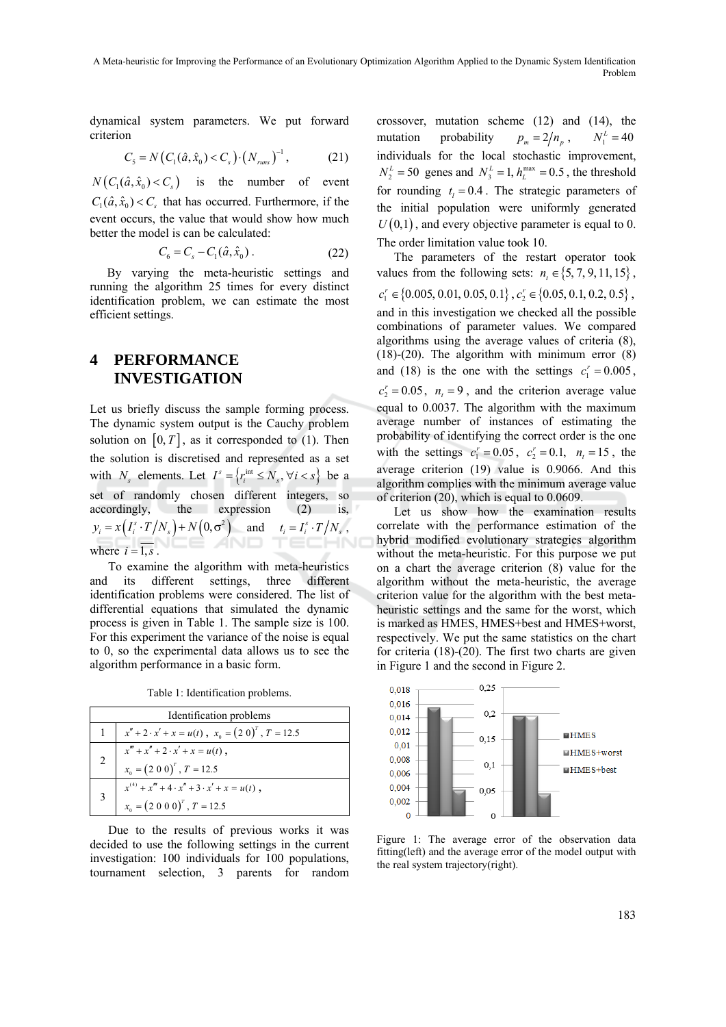dynamical system parameters. We put forward criterion

$$
C_{5} = N\left(C_{1}(\hat{a}, \hat{x}_{0}) < C_{s}\right) \cdot \left(N_{\text{runs}}\right)^{-1},\tag{21}
$$

 $N(C_1(\hat{a}, \hat{x}_0) < C_2)$  is the number of event  $C_1(\hat{a}, \hat{x}_0) < C$ , that has occurred. Furthermore, if the event occurs, the value that would show how much better the model is can be calculated:

$$
C_6 = C_s - C_1(\hat{a}, \hat{x}_0).
$$
 (22)

By varying the meta-heuristic settings and running the algorithm 25 times for every distinct identification problem, we can estimate the most efficient settings.

#### **4 PERFORMANCE INVESTIGATION**

Let us briefly discuss the sample forming process. The dynamic system output is the Cauchy problem solution on  $[0, T]$ , as it corresponded to (1). Then the solution is discretised and represented as a set with *N<sub>s</sub>* elements. Let  $I^s = \{r_i^{\text{int}} \leq N_s, \forall i < s\}$  be a set of randomly chosen different integers, so accordingly, the expression (2) is,  $y_i = x(I_i^s \cdot T/N_s) + N(0, \sigma^2)$  and  $t_i = I_i^s \cdot T/N_s$ , AND where  $i = \overline{1, s}$ .

To examine the algorithm with meta-heuristics and its different settings, three different identification problems were considered. The list of differential equations that simulated the dynamic process is given in Table 1. The sample size is 100. For this experiment the variance of the noise is equal to 0, so the experimental data allows us to see the algorithm performance in a basic form.

Table 1: Identification problems.

| Identification problems |                                                                |
|-------------------------|----------------------------------------------------------------|
|                         | $x'' + 2 \cdot x' + x = u(t)$ , $x_0 = (2 \ 0)^T$ , $T = 12.5$ |
| 2                       | $x''' + x'' + 2 \cdot x' + x = u(t)$ ,                         |
|                         | $x_0 = (200)^T$ , $T = 12.5$                                   |
|                         | $x^{(4)} + x''' + 4 \cdot x'' + 3 \cdot x' + x = u(t)$ ,       |
|                         | $x_0 = (2000)^T$ , $T = 12.5$                                  |

Due to the results of previous works it was decided to use the following settings in the current investigation: 100 individuals for 100 populations, tournament selection, 3 parents for random crossover, mutation scheme (12) and (14), the mutation probability  $p_m = 2/n_n$ ,  $N_1^L = 40$ individuals for the local stochastic improvement,  $N_2^L = 50$  genes and  $N_3^L = 1$ ,  $h_L^{\text{max}} = 0.5$ , the threshold for rounding  $t_i = 0.4$ . The strategic parameters of the initial population were uniformly generated  $U(0,1)$ , and every objective parameter is equal to 0. The order limitation value took 10.

The parameters of the restart operator took values from the following sets:  $n_1 \in \{5, 7, 9, 11, 15\}$ ,  $c_1^r \in \{0.005, 0.01, 0.05, 0.1\}, c_2^r \in \{0.05, 0.1, 0.2, 0.5\},$ and in this investigation we checked all the possible combinations of parameter values. We compared algorithms using the average values of criteria (8), (18)-(20). The algorithm with minimum error  $(8)$ and (18) is the one with the settings  $c_1^r = 0.005$ ,  $c_2^r = 0.05$ ,  $n_t = 9$ , and the criterion average value equal to 0.0037. The algorithm with the maximum average number of instances of estimating the probability of identifying the correct order is the one with the settings  $c_1^r = 0.05$ ,  $c_2^r = 0.1$ ,  $n_t = 15$ , the average criterion (19) value is 0.9066. And this algorithm complies with the minimum average value of criterion (20), which is equal to 0.0609.

Let us show how the examination results correlate with the performance estimation of the hybrid modified evolutionary strategies algorithm without the meta-heuristic. For this purpose we put on a chart the average criterion (8) value for the algorithm without the meta-heuristic, the average criterion value for the algorithm with the best metaheuristic settings and the same for the worst, which is marked as HMES, HMES+best and HMES+worst, respectively. We put the same statistics on the chart for criteria (18)-(20). The first two charts are given in Figure 1 and the second in Figure 2.



Figure 1: The average error of the observation data fitting(left) and the average error of the model output with the real system trajectory(right).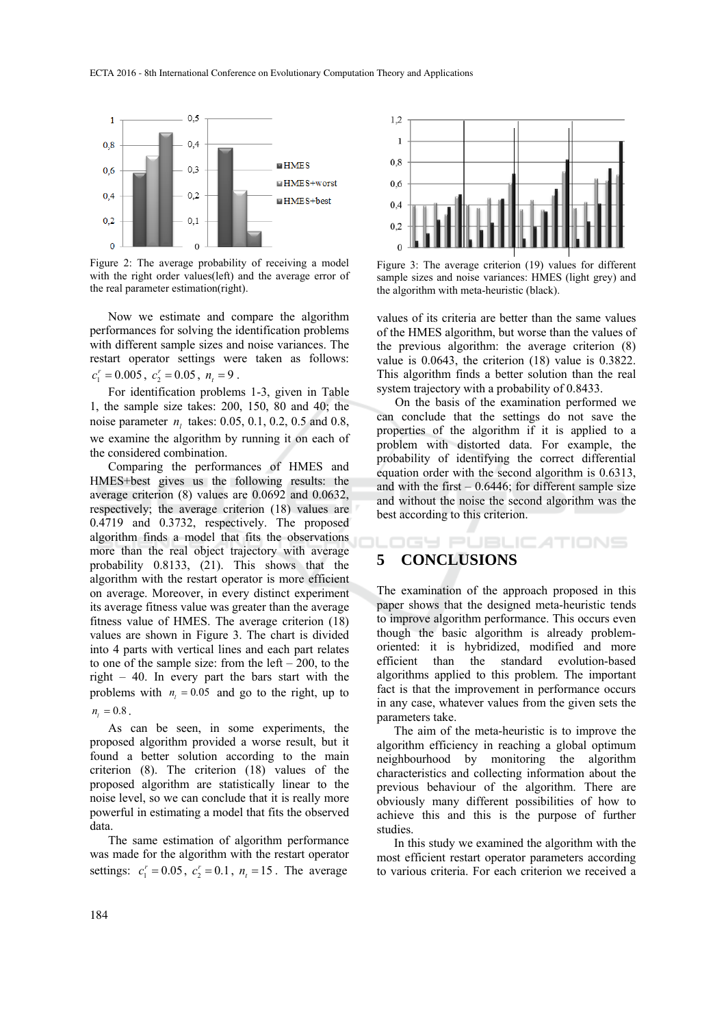

Figure 2: The average probability of receiving a model with the right order values(left) and the average error of the real parameter estimation(right).

Now we estimate and compare the algorithm performances for solving the identification problems with different sample sizes and noise variances. The restart operator settings were taken as follows:  $c_1^r = 0.005$ ,  $c_2^r = 0.05$ ,  $n_i = 9$ .

For identification problems 1-3, given in Table 1, the sample size takes: 200, 150, 80 and 40; the noise parameter  $n_i$  takes: 0.05, 0.1, 0.2, 0.5 and 0.8, we examine the algorithm by running it on each of the considered combination.

Comparing the performances of HMES and HMES+best gives us the following results: the average criterion (8) values are 0.0692 and 0.0632, respectively; the average criterion (18) values are 0.4719 and 0.3732, respectively. The proposed algorithm finds a model that fits the observations more than the real object trajectory with average probability 0.8133, (21). This shows that the algorithm with the restart operator is more efficient on average. Moreover, in every distinct experiment its average fitness value was greater than the average fitness value of HMES. The average criterion (18) values are shown in Figure 3. The chart is divided into 4 parts with vertical lines and each part relates to one of the sample size: from the left  $-200$ , to the right – 40. In every part the bars start with the problems with  $n_1 = 0.05$  and go to the right, up to

#### $n_i = 0.8$ .

As can be seen, in some experiments, the proposed algorithm provided a worse result, but it found a better solution according to the main criterion (8). The criterion (18) values of the proposed algorithm are statistically linear to the noise level, so we can conclude that it is really more powerful in estimating a model that fits the observed data.

The same estimation of algorithm performance was made for the algorithm with the restart operator settings:  $c_1^r = 0.05$ ,  $c_2^r = 0.1$ ,  $n_t = 15$ . The average



Figure 3: The average criterion (19) values for different sample sizes and noise variances: HMES (light grey) and the algorithm with meta-heuristic (black).

values of its criteria are better than the same values of the HMES algorithm, but worse than the values of the previous algorithm: the average criterion (8) value is 0.0643, the criterion (18) value is 0.3822. This algorithm finds a better solution than the real system trajectory with a probability of 0.8433.

On the basis of the examination performed we can conclude that the settings do not save the properties of the algorithm if it is applied to a problem with distorted data. For example, the probability of identifying the correct differential equation order with the second algorithm is 0.6313, and with the first  $-0.6446$ ; for different sample size and without the noise the second algorithm was the best according to this criterion.

#### IGY PUBLIC ATIONS **5 CONCLUSIONS**

The examination of the approach proposed in this paper shows that the designed meta-heuristic tends to improve algorithm performance. This occurs even though the basic algorithm is already problemoriented: it is hybridized, modified and more efficient than the standard evolution-based algorithms applied to this problem. The important fact is that the improvement in performance occurs in any case, whatever values from the given sets the parameters take.

The aim of the meta-heuristic is to improve the algorithm efficiency in reaching a global optimum neighbourhood by monitoring the algorithm characteristics and collecting information about the previous behaviour of the algorithm. There are obviously many different possibilities of how to achieve this and this is the purpose of further studies.

In this study we examined the algorithm with the most efficient restart operator parameters according to various criteria. For each criterion we received a